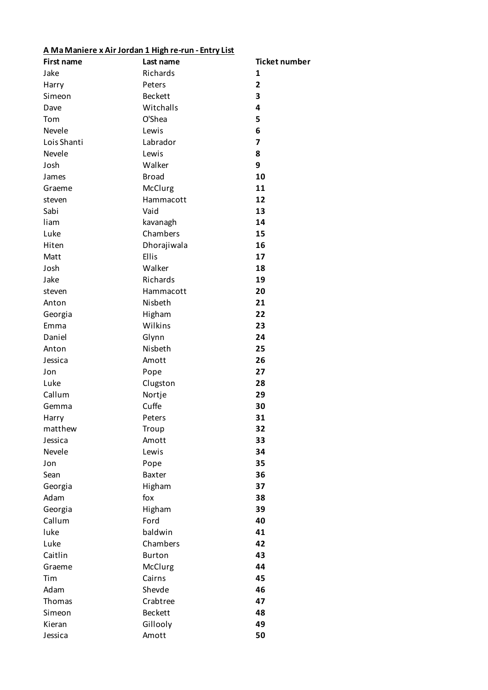## **A Ma Maniere x Air Jordan 1 High re-run - Entry List**

| <b>First name</b> | Last name       | <b>Ticket number</b> |
|-------------------|-----------------|----------------------|
| Jake              | Richards        | 1                    |
| Harry             | Peters          | $\overline{2}$       |
| Simeon            | <b>Beckett</b>  | 3                    |
| Dave              | Witchalls       | 4                    |
| Tom               | O'Shea          | 5                    |
| Nevele            | Lewis           | 6                    |
| Lois Shanti       | Labrador        | 7                    |
| Nevele            | Lewis           | 8                    |
| Josh              | Walker          | 9                    |
| James             | <b>Broad</b>    | 10                   |
| Graeme            | McClurg         | 11                   |
| steven            | Hammacott       | 12                   |
| Sabi              | Vaid            | 13                   |
| liam              | kavanagh        | 14                   |
| Luke              | Chambers        | 15                   |
| Hiten             | Dhorajiwala     | 16                   |
| Matt              | Ellis           | 17                   |
| Josh              | Walker          | 18                   |
| Jake              | Richards        | 19                   |
| steven            | Hammacott       | 20                   |
| Anton             | Nisbeth         | 21                   |
| Georgia           | Higham          | 22                   |
| Emma              | Wilkins         | 23                   |
| Daniel            | Glynn           | 24                   |
| Anton             | Nisbeth         | 25                   |
| Jessica           | Amott           | 26                   |
| Jon               | Pope            | 27                   |
| Luke              |                 | 28                   |
| Callum            | Clugston        | 29                   |
|                   | Nortje<br>Cuffe | 30                   |
| Gemma             |                 |                      |
| Harry             | Peters          | 31                   |
| matthew           | Troup           | 32                   |
| Jessica<br>Nevele | Amott           | 33                   |
|                   | Lewis           | 34                   |
| Jon               | Pope            | 35                   |
| Sean              | Baxter          | 36                   |
| Georgia           | Higham          | 37                   |
| Adam              | fox             | 38                   |
| Georgia           | Higham          | 39                   |
| Callum            | Ford            | 40                   |
| luke              | baldwin         | 41                   |
| Luke              | Chambers        | 42                   |
| Caitlin           | <b>Burton</b>   | 43                   |
| Graeme            | McClurg         | 44                   |
| Tim               | Cairns          | 45                   |
| Adam              | Shevde          | 46                   |
| Thomas            | Crabtree        | 47                   |
| Simeon            | <b>Beckett</b>  | 48                   |
| Kieran            | Gillooly        | 49                   |
| Jessica           | Amott           | 50                   |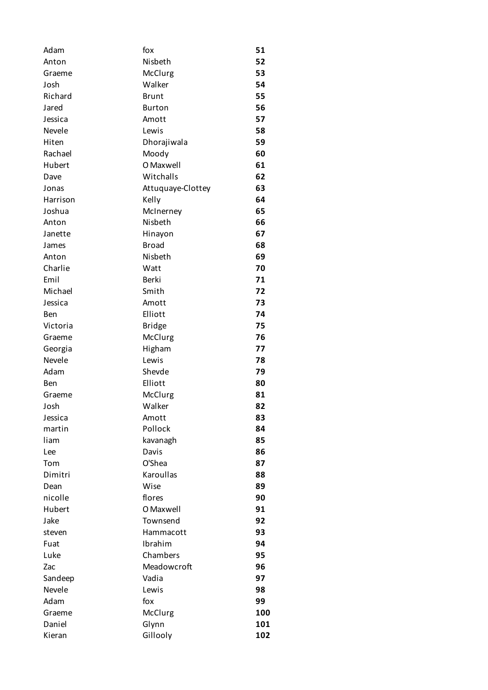| Adam     | fox               | 51  |
|----------|-------------------|-----|
| Anton    | Nisbeth           | 52  |
| Graeme   | McClurg           | 53  |
| Josh     | Walker            | 54  |
| Richard  | <b>Brunt</b>      | 55  |
| Jared    | <b>Burton</b>     | 56  |
| Jessica  | Amott             | 57  |
| Nevele   | Lewis             | 58  |
| Hiten    | Dhorajiwala       | 59  |
| Rachael  | Moody             | 60  |
| Hubert   | O Maxwell         | 61  |
| Dave     | Witchalls         | 62  |
| Jonas    | Attuquaye-Clottey | 63  |
| Harrison | Kelly             | 64  |
| Joshua   | McInerney         | 65  |
| Anton    | Nisbeth           | 66  |
| Janette  | Hinayon           | 67  |
| James    | <b>Broad</b>      | 68  |
| Anton    | Nisbeth           | 69  |
| Charlie  | Watt              | 70  |
| Emil     | Berki             | 71  |
| Michael  | Smith             | 72  |
| Jessica  | Amott             | 73  |
| Ben      | Elliott           | 74  |
| Victoria | <b>Bridge</b>     | 75  |
| Graeme   | McClurg           | 76  |
| Georgia  | Higham            | 77  |
| Nevele   | Lewis             | 78  |
| Adam     | Shevde            | 79  |
| Ben      | Elliott           | 80  |
| Graeme   | McClurg           | 81  |
| Josh     | Walker            | 82  |
| Jessica  | Amott             | 83  |
| martin   | Pollock           | 84  |
| liam     | kavanagh          | 85  |
| Lee      | Davis             | 86  |
| Tom      | O'Shea            | 87  |
| Dimitri  | Karoullas         | 88  |
| Dean     | Wise              | 89  |
| nicolle  | flores            | 90  |
| Hubert   | O Maxwell         | 91  |
| Jake     | Townsend          | 92  |
| steven   | Hammacott         | 93  |
| Fuat     | Ibrahim           | 94  |
| Luke     | Chambers          | 95  |
| Zac      | Meadowcroft       | 96  |
| Sandeep  | Vadia             | 97  |
| Nevele   | Lewis             | 98  |
| Adam     | fox               | 99  |
| Graeme   | McClurg           | 100 |
| Daniel   | Glynn             | 101 |
| Kieran   | Gillooly          | 102 |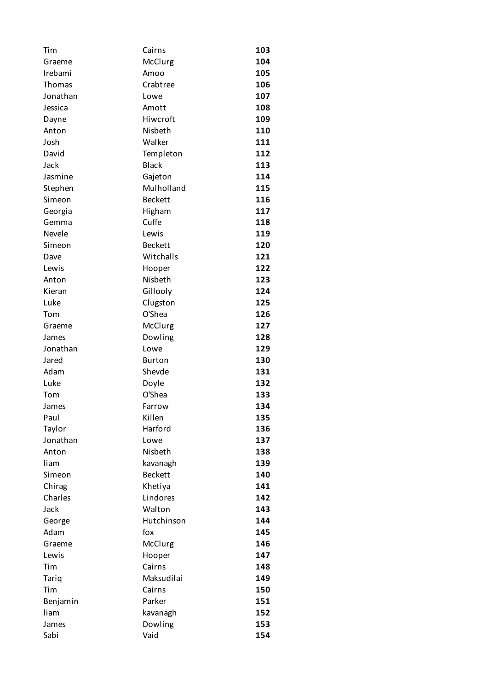| Tim      | Cairns         | 103 |
|----------|----------------|-----|
| Graeme   | McClurg        | 104 |
| Irebami  | Amoo           | 105 |
| Thomas   | Crabtree       | 106 |
| Jonathan | Lowe           | 107 |
| Jessica  | Amott          | 108 |
| Dayne    | Hiwcroft       | 109 |
| Anton    | Nisbeth        | 110 |
| Josh     | Walker         | 111 |
| David    | Templeton      | 112 |
| Jack     | <b>Black</b>   | 113 |
| Jasmine  | Gajeton        | 114 |
| Stephen  | Mulholland     | 115 |
| Simeon   | <b>Beckett</b> | 116 |
| Georgia  | Higham         | 117 |
| Gemma    | Cuffe          | 118 |
| Nevele   | Lewis          | 119 |
| Simeon   | <b>Beckett</b> | 120 |
| Dave     | Witchalls      | 121 |
| Lewis    | Hooper         | 122 |
| Anton    | Nisbeth        | 123 |
| Kieran   | Gillooly       | 124 |
| Luke     | Clugston       | 125 |
| Tom      | O'Shea         | 126 |
| Graeme   | McClurg        | 127 |
| James    | Dowling        | 128 |
| Jonathan | Lowe           | 129 |
| Jared    | <b>Burton</b>  | 130 |
| Adam     | Shevde         | 131 |
| Luke     | Doyle          | 132 |
| Tom      | O'Shea         | 133 |
| James    | Farrow         | 134 |
| Paul     | Killen         | 135 |
| Taylor   | Harford        | 136 |
| Jonathan | Lowe           | 137 |
| Anton    | Nisbeth        | 138 |
| liam     | kavanagh       | 139 |
| Simeon   | <b>Beckett</b> | 140 |
| Chirag   | Khetiya        | 141 |
| Charles  | Lindores       | 142 |
| Jack     | Walton         | 143 |
| George   | Hutchinson     | 144 |
| Adam     | fox            | 145 |
| Graeme   | McClurg        | 146 |
| Lewis    | Hooper         | 147 |
| Tim      | Cairns         | 148 |
| Tariq    | Maksudilai     | 149 |
| Tim      | Cairns         | 150 |
| Benjamin | Parker         | 151 |
| liam     | kavanagh       | 152 |
| James    | Dowling        | 153 |
| Sabi     | Vaid           | 154 |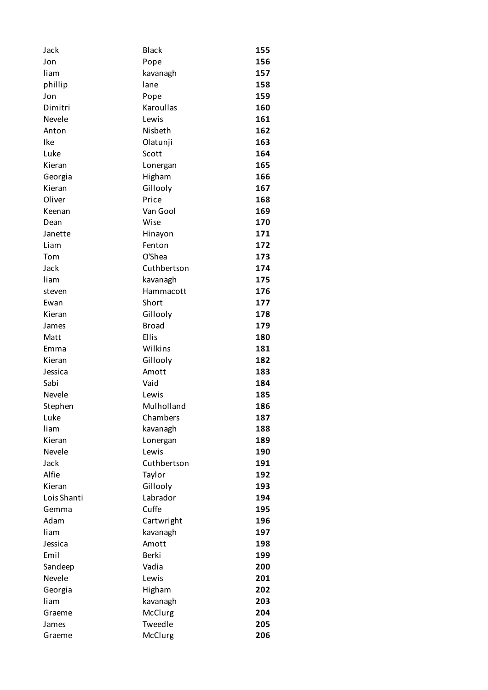| Jack        | <b>Black</b> | 155 |
|-------------|--------------|-----|
| Jon         | Pope         | 156 |
| liam        | kavanagh     | 157 |
| phillip     | lane         | 158 |
| Jon         | Pope         | 159 |
| Dimitri     | Karoullas    | 160 |
| Nevele      | Lewis        | 161 |
| Anton       | Nisbeth      | 162 |
| Ike         | Olatunji     | 163 |
| Luke        | Scott        | 164 |
| Kieran      | Lonergan     | 165 |
| Georgia     | Higham       | 166 |
| Kieran      | Gillooly     | 167 |
| Oliver      | Price        | 168 |
| Keenan      | Van Gool     | 169 |
| Dean        | Wise         | 170 |
| Janette     | Hinayon      | 171 |
| Liam        | Fenton       | 172 |
| Tom         | O'Shea       | 173 |
| Jack        | Cuthbertson  | 174 |
| liam        | kavanagh     | 175 |
| steven      | Hammacott    | 176 |
| Ewan        | Short        | 177 |
| Kieran      | Gillooly     | 178 |
| James       | <b>Broad</b> | 179 |
| Matt        | Ellis        | 180 |
| Emma        | Wilkins      | 181 |
| Kieran      | Gillooly     | 182 |
| Jessica     | Amott        | 183 |
| Sabi        | Vaid         | 184 |
| Nevele      | Lewis        | 185 |
| Stephen     | Mulholland   | 186 |
| Luke        | Chambers     | 187 |
| liam        | kavanagh     | 188 |
| Kieran      | Lonergan     | 189 |
| Nevele      | Lewis        | 190 |
| Jack        | Cuthbertson  | 191 |
| Alfie       | Taylor       | 192 |
| Kieran      | Gillooly     | 193 |
| Lois Shanti | Labrador     | 194 |
| Gemma       | Cuffe        | 195 |
| Adam        | Cartwright   | 196 |
| liam        | kavanagh     | 197 |
| Jessica     | Amott        | 198 |
| Emil        | <b>Berki</b> | 199 |
| Sandeep     | Vadia        | 200 |
| Nevele      | Lewis        | 201 |
| Georgia     | Higham       | 202 |
| liam        | kavanagh     | 203 |
| Graeme      | McClurg      | 204 |
| James       | Tweedle      | 205 |
| Graeme      | McClurg      | 206 |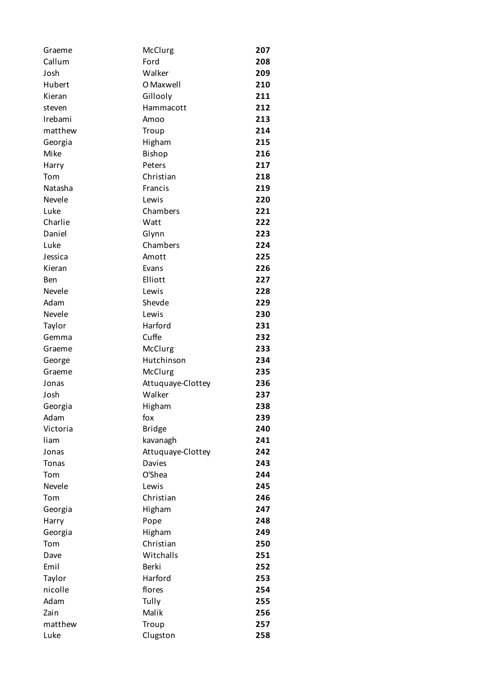| Graeme       | McClurg           | 207 |
|--------------|-------------------|-----|
| Callum       | Ford              | 208 |
| Josh         | Walker            | 209 |
| Hubert       | O Maxwell         | 210 |
| Kieran       | Gillooly          | 211 |
| steven       | Hammacott         | 212 |
| Irebami      | Amoo              | 213 |
| matthew      | Troup             | 214 |
| Georgia      | Higham            | 215 |
| Mike         | Bishop            | 216 |
| Harry        | Peters            | 217 |
| Tom          | Christian         | 218 |
| Natasha      | Francis           | 219 |
| Nevele       | Lewis             | 220 |
| Luke         | Chambers          | 221 |
| Charlie      | Watt              | 222 |
| Daniel       | Glynn             | 223 |
| Luke         | Chambers          | 224 |
| Jessica      | Amott             | 225 |
| Kieran       | Evans             | 226 |
| Ben          | Elliott           | 227 |
| Nevele       | Lewis             | 228 |
| Adam         | Shevde            | 229 |
| Nevele       | Lewis             | 230 |
| Taylor       | Harford           | 231 |
| Gemma        | Cuffe             | 232 |
| Graeme       | McClurg           | 233 |
| George       | Hutchinson        | 234 |
| Graeme       | McClurg           | 235 |
| Jonas        | Attuquaye-Clottey | 236 |
| Josh         | Walker            | 237 |
| Georgia      | Higham            | 238 |
| Adam         | fox               | 239 |
| Victoria     | <b>Bridge</b>     | 240 |
| liam         | kavanagh          | 241 |
| Jonas        | Attuquaye-Clottey | 242 |
| <b>Tonas</b> | Davies            | 243 |
| Tom          | O'Shea            | 244 |
| Nevele       | Lewis             | 245 |
| Tom          | Christian         | 246 |
| Georgia      | Higham            | 247 |
| Harry        | Pope              | 248 |
| Georgia      | Higham            | 249 |
| Tom          | Christian         | 250 |
| Dave         | Witchalls         | 251 |
| Emil         | <b>Berki</b>      | 252 |
| Taylor       | Harford           | 253 |
| nicolle      | flores            | 254 |
| Adam         | Tully             | 255 |
| Zain         | Malik             | 256 |
| matthew      | Troup             | 257 |
| Luke         | Clugston          | 258 |